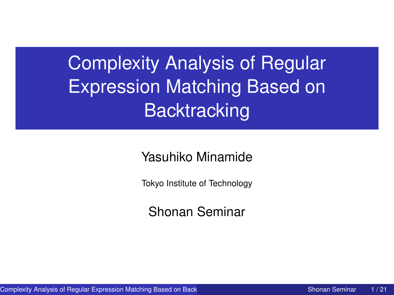<span id="page-0-0"></span>Complexity Analysis of Regular Expression Matching Based on **Backtracking** 

Yasuhiko Minamide

Tokyo Institute of Technology

Shonan Seminar

Complexity Analysis of Regular Expression Matching Based on Back Theory Shonan Seminar 1/21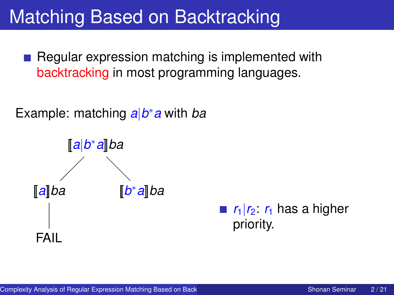#### Matching Based on Backtracking

Regular expression matching is implemented with backtracking in most programming languages.

Example: matching *a*|*b* <sup>∗</sup>*a* with *ba*



 $\mathbf{r}_1|\mathbf{r}_2$ :  $\mathbf{r}_1$  has a higher priority.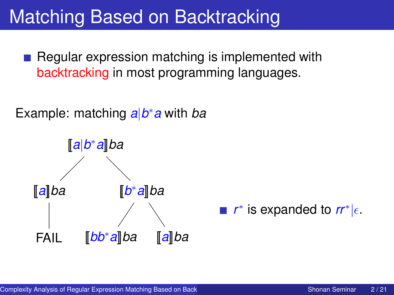#### Matching Based on Backtracking

Regular expression matching is implemented with backtracking in most programming languages.

Example: matching *a*|*b* <sup>∗</sup>*a* with *ba*



 $r^*$  is expanded to  $rr^*$ <sub> $|\epsilon$ </sub>.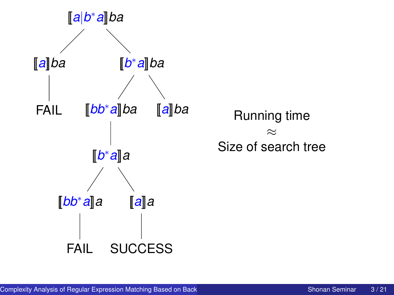

[[*a*]]*ba* Running time ≈ Size of search tree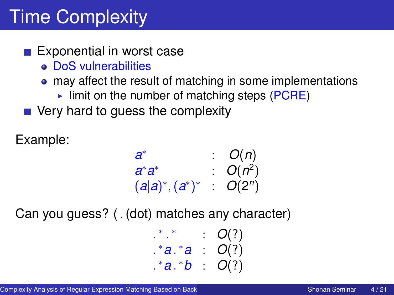# Time Complexity

#### Exponential in worst case

- DoS vulnerabilities
- may affect the result of matching in some implementations
	- $\triangleright$  limit on the number of matching steps (PCRE)
- Very hard to quess the complexity

Example:

$$
\begin{array}{lll}a^* & : & O(n) \\ a^*a^* & : & O(n^2) \\ (a|a)^*, (a^*)^* & : & O(2^n) \end{array}
$$

Can you guess? ( . (dot) matches any character)

| $*$ $*$ |    | O(?) |
|---------|----|------|
| .*a.*a  |    | O(?) |
| .*a.*b  | t. | O(?) |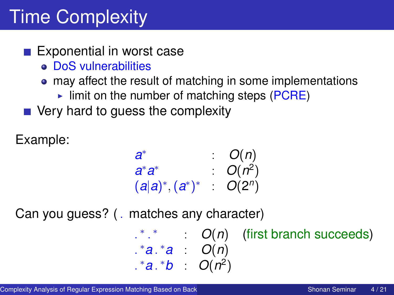# Time Complexity

#### $\blacksquare$  Exponential in worst case

- DoS vulnerabilities
- may affect the result of matching in some implementations
	- $\triangleright$  limit on the number of matching steps (PCRE)
- $\blacksquare$  Very hard to quess the complexity

Example:

$$
\begin{array}{lll}a^* & : & O(n) \\ a^*a^* & : & O(n^2) \\ (a|a)^*, (a^*)^* & O(2^n) \end{array}
$$

Can you guess? ( . matches any character)

| $\cdot$ * *       |  | $\therefore$ $O(n)$ (first branch succeeds) |
|-------------------|--|---------------------------------------------|
| $.*a.*a : O(n)$   |  |                                             |
| $.*a.*b : O(n^2)$ |  |                                             |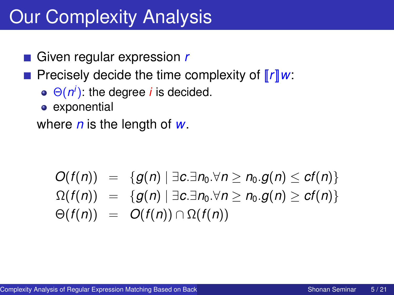## Our Complexity Analysis

Given regular expression *r*

Precisely decide the time complexity of [[*r*]]*w*:

- $\Theta(n^i)$ : the degree *i* is decided.
- **e** exponential

where *n* is the length of *w*.

$$
O(f(n)) = \{g(n) \mid \exists c.\exists n_0.\forall n \geq n_0.g(n) \leq cf(n)\} \newline \Omega(f(n)) = \{g(n) \mid \exists c.\exists n_0.\forall n \geq n_0.g(n) \geq cf(n)\} \newline \Theta(f(n)) = O(f(n)) \cap \Omega(f(n))
$$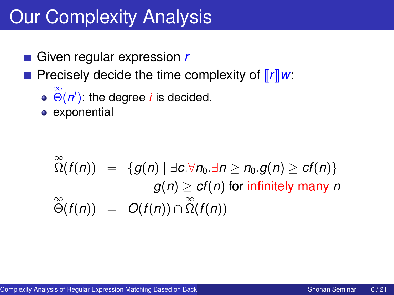## Our Complexity Analysis

Given regular expression *r*

Precisely decide the time complexity of [[*r*]]*w*:

- $\stackrel{\infty}{\Theta}$ (*n<sup>i</sup>*): the degree *i* is decided.
- exponential

$$
\widetilde{\Omega}(f(n)) = \{g(n) \mid \exists c. \forall n_0. \exists n \ge n_0. g(n) \ge cf(n)\}
$$
  

$$
g(n) \ge cf(n) \text{ for infinitely many } n
$$
  

$$
\widetilde{\Theta}(f(n)) = O(f(n)) \cap \widetilde{\Omega}(f(n))
$$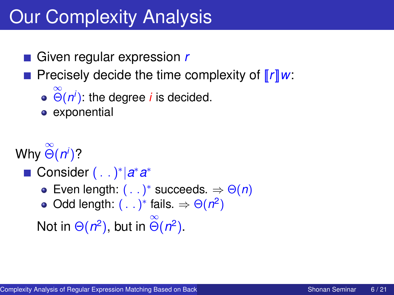## Our Complexity Analysis

Given regular expression *r*

Precisely decide the time complexity of [[*r*]]*w*:

- $\stackrel{\infty}{\Theta}$ (*n<sup>i</sup>*): the degree *i* is decided.
- exponential

Why ∞ Θ(*n i* )?

- Consider (. . )<sup>\*</sup> |a<sup>\*</sup>a<sup>\*</sup>
	- Even length:  $( ...)$ <sup>\*</sup> succeeds.  $\Rightarrow \Theta(n)$
	- Odd length:  $(. .)^*$  fails.  $\Rightarrow \Theta(n^2)$

Not in  $\Theta(n^2)$ , but in  $\stackrel{\infty}{\Theta}(n^2)$ .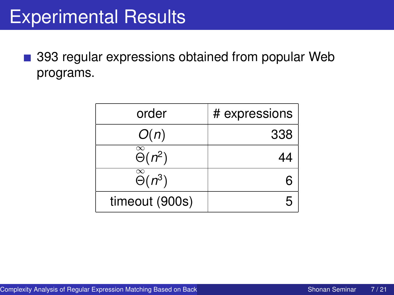### Experimental Results

393 regular expressions obtained from popular Web  $\mathcal{C}_{\mathcal{A}}$ programs.

| order                                         | # expressions |
|-----------------------------------------------|---------------|
| O(n)                                          | 338           |
| $\overline{\overset{\infty}{\Theta}(n^2)}$    | 44            |
| $\stackrel{\infty}{\Theta}$ (n <sup>3</sup> ) |               |
| timeout (900s)                                |               |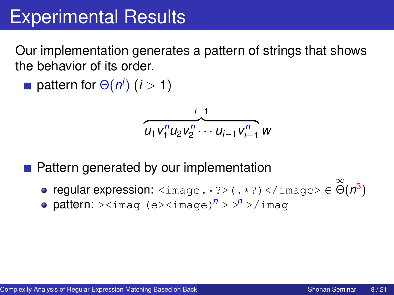## Experimental Results

Our implementation generates a pattern of strings that shows the behavior of its order.

pattern for  $\Theta(n^i)$   $(i > 1)$ 

$$
\overbrace{u_1v_1^n u_2v_2^{n} \cdots u_{i-1}v_{i-1}^{n}}^{i-1} w
$$

- Pattern generated by our implementation
	- $\mathsf{regular} \textnormal{ expression: } \texttt{} \texttt{(.*?)} \texttt{<}/\texttt{image>} \in \overset{\infty}{\Theta} (n^3)$
	- **pattern:**  $>\lim_{n\to\infty}$  (e> $\leq$ image)<sup>*n*</sup> >  $>$ <sup>*n*</sup> >/imag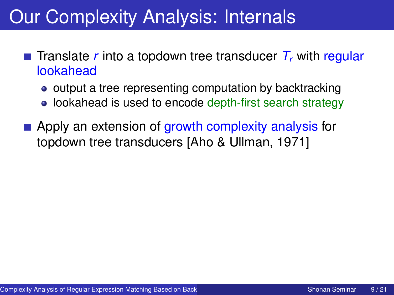## Our Complexity Analysis: Internals

- **Translate** *r* into a topdown tree transducer  $T<sub>r</sub>$  with regular lookahead
	- output a tree representing computation by backtracking
	- lookahead is used to encode depth-first search strategy
- **Apply an extension of growth complexity analysis for** topdown tree transducers [Aho & Ullman, 1971]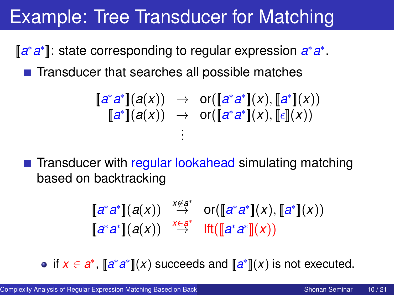## Example: Tree Transducer for Matching

[a<sup>\*</sup>a<sup>\*</sup>]: state corresponding to regular expression a<sup>\*</sup>a<sup>\*</sup>.

 $\blacksquare$  Transducer that searches all possible matches

$$
\begin{array}{rcl}\n\llbracket a^*a^* \rrbracket(a(x)) & \to & \text{or}(\llbracket a^*a^* \rrbracket(x), \llbracket a^* \rrbracket(x)) \\
\llbracket a^* \rrbracket(a(x)) & \to & \text{or}(\llbracket a^*a^* \rrbracket(x), \llbracket \epsilon \rrbracket(x)) \\
\vdots\n\end{array}
$$

**Transducer with regular lookahead simulating matching** based on backtracking

$$
\begin{array}{ccc}\n[a^*a^*](a(x)) & \stackrel{x \notin a^*}{\to} & \text{or}(\llbracket a^*a^*](x), \llbracket a^*](x)) \\
[a^*a^*](a(x)) & \stackrel{x \in a^*}{\to} & \text{lt}(\llbracket a^*a^*](x))\n\end{array}
$$

if  $x \in \mathbf{a}^*$ ,  $[\![\mathbf{a}^* \mathbf{a}^*]\!](x)$  succeeds and  $[\![\mathbf{a}^*]\!](x)$  is not executed.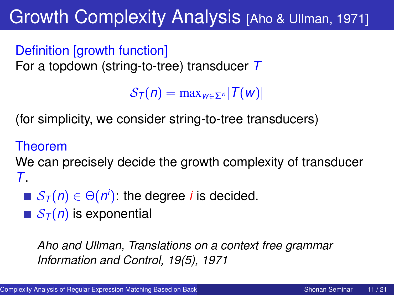## Growth Complexity Analysis [Aho & Ullman, 1971]

Definition [growth function] For a topdown (string-to-tree) transducer *T*

 $S_{\tau}(n) = \max_{w \in \mathcal{F}^n} |T(w)|$ 

(for simplicity, we consider string-to-tree transducers)

#### Theorem

We can precisely decide the growth complexity of transducer *T*.

- ${\cal S}_{\cal T} (n) \in \Theta (n^i)$ : the degree  $i$  is decided.
- $S_T(n)$  is exponential

*Aho and Ullman, Translations on a context free grammar Information and Control, 19(5), 1971*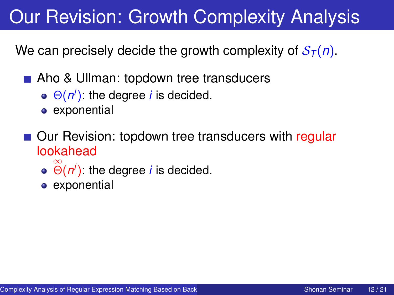## Our Revision: Growth Complexity Analysis

We can precisely decide the growth complexity of  $S_{\tau}(n)$ .

- Aho & Ullman: topdown tree transducers
	- Θ(*n i* ): the degree *i* is decided.
	- **e** exponential
- Our Revision: topdown tree transducers with regular lookahead
	- $\stackrel{\infty}{\Theta}$ (*n<sup>i</sup>*): the degree *i* is decided.
	- **e** exponential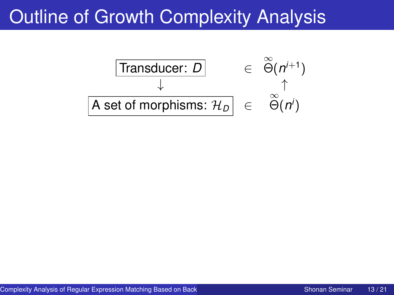#### Outline of Growth Complexity Analysis

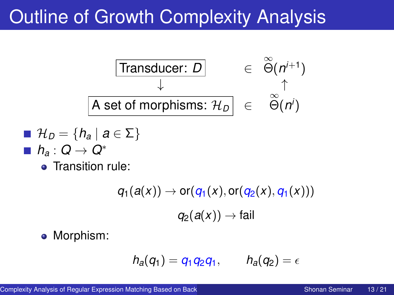### Outline of Growth Complexity Analysis



$$
\blacksquare \mathcal{H}_D = \{h_a \mid a \in \Sigma\}
$$

- *h<sup>a</sup>* : *Q* → *Q*<sup>∗</sup>
	- Transition rule:

$$
q_1(a(x)) \to \text{or}(q_1(x), \text{or}(q_2(x), q_1(x)))
$$
  

$$
q_2(a(x)) \to \text{fail}
$$

• Morphism:

$$
h_a(q_1)=q_1q_2q_1, \qquad h_a(q_2)=\epsilon
$$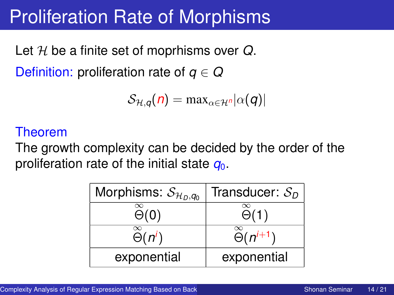### Proliferation Rate of Morphisms

Let H be a finite set of moprhisms over *Q*. Definition: proliferation rate of *q* ∈ *Q*

$$
\mathcal{S}_{\mathcal{H},q}(n) = \max_{\alpha \in \mathcal{H}^n} |\alpha(q)|
$$

#### Theorem

The growth complexity can be decided by the order of the proliferation rate of the initial state  $q_0$ .

| Morphisms: $\mathcal{S}_{\mathcal{H}_D,q_0}$ | Transducer: $S_D$                         |
|----------------------------------------------|-------------------------------------------|
| $\infty$<br>$\Theta(0)$                      | $\infty$<br>$\Theta(1)$                   |
| $\infty$<br>$\widetilde{\Theta}(n^i)$        | $\stackrel{\infty}{\Theta}$ ( $n^{i+1}$ ) |
| exponential                                  | exponential                               |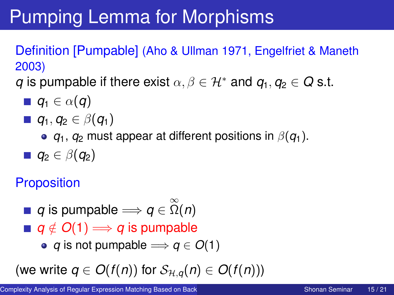# Pumping Lemma for Morphisms

Definition [Pumpable] (Aho & Ullman 1971, Engelfriet & Maneth 2003)

*q* is pumpable if there exist  $\alpha, \beta \in \mathcal{H}^*$  and  $q_1, q_2 \in Q$  s.t.

- $q_1$  ∈  $\alpha$ (*q*)
- $\blacksquare$ *q*<sub>1</sub>, *q*<sub>2</sub> ∈ β(*q*<sub>1</sub>)
	- **•**  $q_1$ ,  $q_2$  must appear at different positions in  $\beta(q_1)$ .
- $\rule{1em}{0}$ *q*<sub>2</sub> ∈ β(*q*<sub>2</sub>)

#### **Proposition**

- $q$  is pumpable  $\Longrightarrow$   $q\in\stackrel{\infty}{\Omega}(n)$
- $q \notin O(1)$  *⇒ q* **is pumpable** 
	- *q* is not pumpable  $\implies$  *q*  $\in$  *O*(1)

(we write  $q \in O(f(n))$  for  $S_{H,q}(n) \in O(f(n))$ )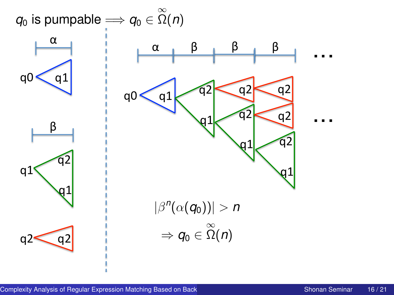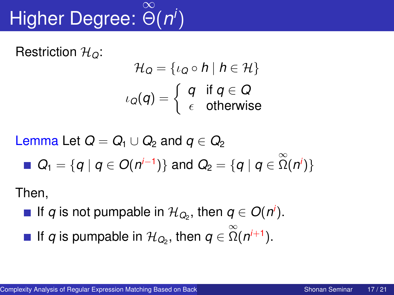#### Higher Degree: Θ(*n i* ) ∞

Restriction H*Q*:

$$
\mathcal{H}_{Q} = \{ \iota_{Q} \circ h \mid h \in \mathcal{H} \}
$$

$$
\iota_{Q}(q) = \left\{ \begin{array}{ll} q & \text{if } q \in Q \\ \epsilon & \text{otherwise} \end{array} \right.
$$

Lemma Let  $Q = Q_1 \cup Q_2$  and  $q \in Q_2$  $Q_1 = \{q \mid q \in O(n^{i-1})\}$  and  $Q_2 = \{q \mid q \in \mathbb{Z}(n^i)\}$ 

Then,

- If *q* is not pumpable in  $\mathcal{H}_{Q_2}$ , then  $q \in O(n^i)$ .
- If *q* is pumpable in  $\mathcal{H}_{Q_2}$ , then  $q \in \mathbb{\tilde{Q}}(n^{i+1})$ .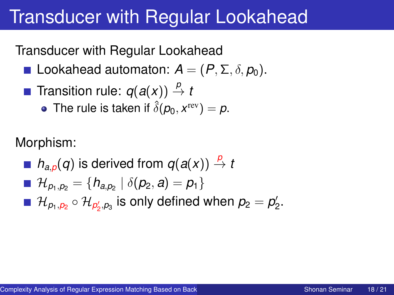#### Transducer with Regular Lookahead

Transducer with Regular Lookahead

- **Lookahead automaton:**  $A = (P, \Sigma, \delta, p_0)$ .
- **Transition rule:**  $q(a(x)) \stackrel{p}{\rightarrow} t$ 
	- The rule is taken if  $\hat{\delta}(\rho_0, x^{\rm rev}) = \rho.$

Morphism:

*n*<sub>*a*</sub><sub>*n*</sub>(*q*) is derived from  $q(a(x)) \stackrel{p}{\rightarrow} t$  $\mathcal{H}_{\rho_1,\rho_2} = \{h_{a,\rho_2} \mid \delta(\rho_2, a) = \rho_1\}$  $\mathcal{H}_{\rho_1,\rho_2}\circ\mathcal{H}_{\rho_2',\rho_3}$  is only defined when  $\rho_2=\rho_2'.$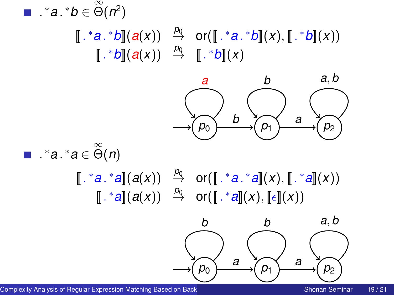

Complexity Analysis of Regular Expression Matching Based on Back Theorem Complexity Shonan Seminar 19/21